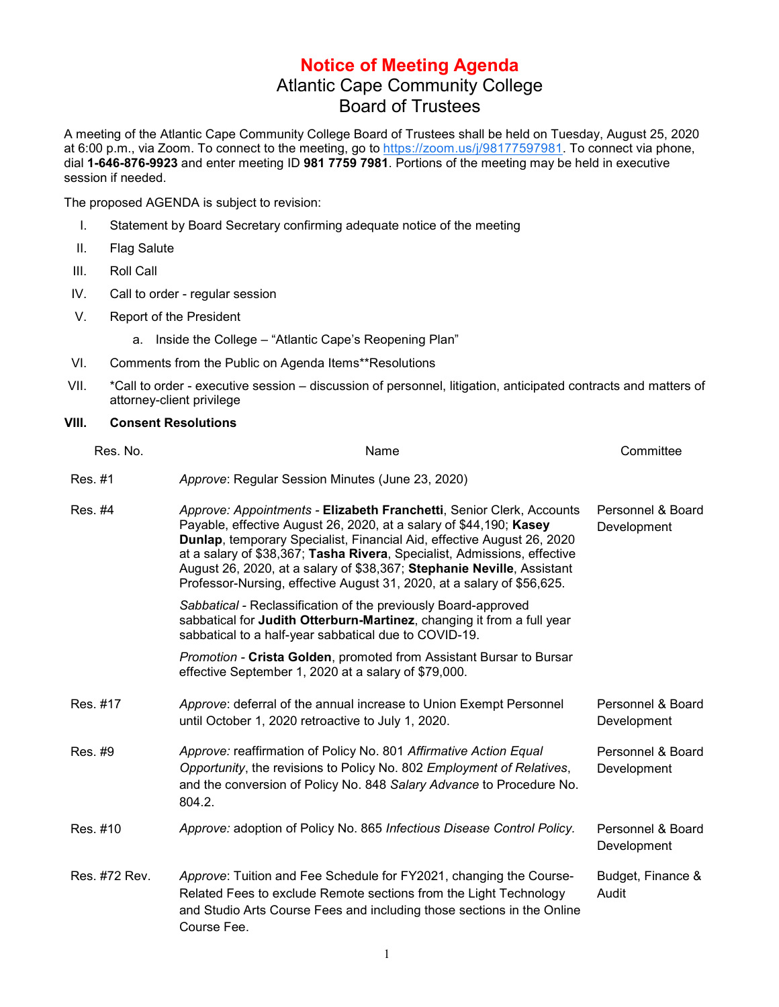## **Notice of Meeting Agenda** Atlantic Cape Community College Board of Trustees

A meeting of the Atlantic Cape Community College Board of Trustees shall be held on Tuesday, August 25, 2020 at 6:00 p.m., via Zoom. To connect to the meeting, go to [https://zoom.us/j/98177597981.](https://www.google.com/url?q=https://zoom.us/j/98177597981&sa=D&source=calendar&ust=1597072443572000&usg=AOvVaw3wGQDxWFwQFFyR3Bpkh8Ml) To connect via phone, dial **1-646-876-9923** and enter meeting ID **981 7759 7981**. Portions of the meeting may be held in executive session if needed.

The proposed AGENDA is subject to revision:

- I. Statement by Board Secretary confirming adequate notice of the meeting
- II. Flag Salute
- III. Roll Call
- IV. Call to order regular session
- V. Report of the President

a. Inside the College – "Atlantic Cape's Reopening Plan"

- VI. Comments from the Public on Agenda Items\*\*Resolutions
- VII. \*Call to order executive session discussion of personnel, litigation, anticipated contracts and matters of attorney-client privilege

## **VIII. Consent Resolutions**

| Res. No.      | Name                                                                                                                                                                                                                                                                                                                                                                                                                                                 | Committee                        |
|---------------|------------------------------------------------------------------------------------------------------------------------------------------------------------------------------------------------------------------------------------------------------------------------------------------------------------------------------------------------------------------------------------------------------------------------------------------------------|----------------------------------|
| Res. #1       | Approve: Regular Session Minutes (June 23, 2020)                                                                                                                                                                                                                                                                                                                                                                                                     |                                  |
| Res. #4       | Approve: Appointments - Elizabeth Franchetti, Senior Clerk, Accounts<br>Payable, effective August 26, 2020, at a salary of \$44,190; Kasey<br>Dunlap, temporary Specialist, Financial Aid, effective August 26, 2020<br>at a salary of \$38,367; Tasha Rivera, Specialist, Admissions, effective<br>August 26, 2020, at a salary of \$38,367; Stephanie Neville, Assistant<br>Professor-Nursing, effective August 31, 2020, at a salary of \$56,625. | Personnel & Board<br>Development |
|               | Sabbatical - Reclassification of the previously Board-approved<br>sabbatical for Judith Otterburn-Martinez, changing it from a full year<br>sabbatical to a half-year sabbatical due to COVID-19.                                                                                                                                                                                                                                                    |                                  |
|               | Promotion - Crista Golden, promoted from Assistant Bursar to Bursar<br>effective September 1, 2020 at a salary of \$79,000.                                                                                                                                                                                                                                                                                                                          |                                  |
| Res. #17      | Approve: deferral of the annual increase to Union Exempt Personnel<br>until October 1, 2020 retroactive to July 1, 2020.                                                                                                                                                                                                                                                                                                                             | Personnel & Board<br>Development |
| Res. #9       | Approve: reaffirmation of Policy No. 801 Affirmative Action Equal<br>Opportunity, the revisions to Policy No. 802 Employment of Relatives,<br>and the conversion of Policy No. 848 Salary Advance to Procedure No.<br>804.2.                                                                                                                                                                                                                         | Personnel & Board<br>Development |
| Res. #10      | Approve: adoption of Policy No. 865 Infectious Disease Control Policy.                                                                                                                                                                                                                                                                                                                                                                               | Personnel & Board<br>Development |
| Res. #72 Rev. | Approve: Tuition and Fee Schedule for FY2021, changing the Course-<br>Related Fees to exclude Remote sections from the Light Technology<br>and Studio Arts Course Fees and including those sections in the Online<br>Course Fee.                                                                                                                                                                                                                     | Budget, Finance &<br>Audit       |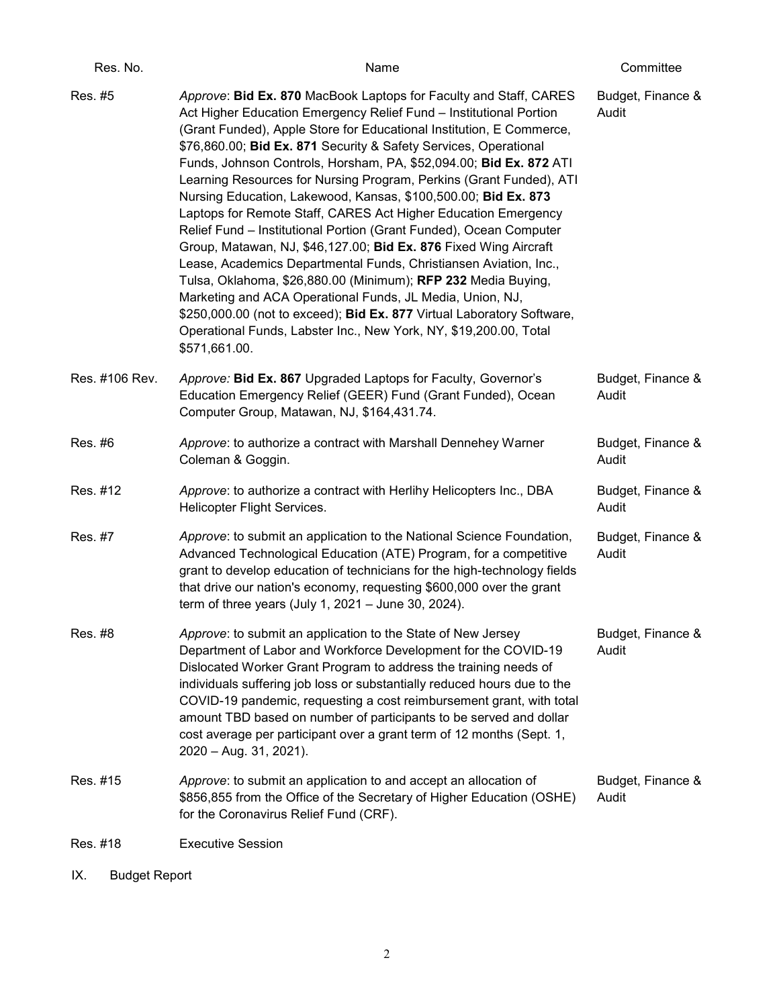| Res. No.                    | Name                                                                                                                                                                                                                                                                                                                                                                                                                                                                                                                                                                                                                                                                                                                                                                                                                                                                                                                                                                                                                                                                              | Committee                  |  |
|-----------------------------|-----------------------------------------------------------------------------------------------------------------------------------------------------------------------------------------------------------------------------------------------------------------------------------------------------------------------------------------------------------------------------------------------------------------------------------------------------------------------------------------------------------------------------------------------------------------------------------------------------------------------------------------------------------------------------------------------------------------------------------------------------------------------------------------------------------------------------------------------------------------------------------------------------------------------------------------------------------------------------------------------------------------------------------------------------------------------------------|----------------------------|--|
| Res. #5                     | Approve: Bid Ex. 870 MacBook Laptops for Faculty and Staff, CARES<br>Act Higher Education Emergency Relief Fund - Institutional Portion<br>(Grant Funded), Apple Store for Educational Institution, E Commerce,<br>\$76,860.00; Bid Ex. 871 Security & Safety Services, Operational<br>Funds, Johnson Controls, Horsham, PA, \$52,094.00; Bid Ex. 872 ATI<br>Learning Resources for Nursing Program, Perkins (Grant Funded), ATI<br>Nursing Education, Lakewood, Kansas, \$100,500.00; Bid Ex. 873<br>Laptops for Remote Staff, CARES Act Higher Education Emergency<br>Relief Fund - Institutional Portion (Grant Funded), Ocean Computer<br>Group, Matawan, NJ, \$46,127.00; Bid Ex. 876 Fixed Wing Aircraft<br>Lease, Academics Departmental Funds, Christiansen Aviation, Inc.,<br>Tulsa, Oklahoma, \$26,880.00 (Minimum); RFP 232 Media Buying,<br>Marketing and ACA Operational Funds, JL Media, Union, NJ,<br>\$250,000.00 (not to exceed); Bid Ex. 877 Virtual Laboratory Software,<br>Operational Funds, Labster Inc., New York, NY, \$19,200.00, Total<br>\$571,661.00. | Budget, Finance &<br>Audit |  |
| Res. #106 Rev.              | Approve: Bid Ex. 867 Upgraded Laptops for Faculty, Governor's<br>Education Emergency Relief (GEER) Fund (Grant Funded), Ocean<br>Computer Group, Matawan, NJ, \$164,431.74.                                                                                                                                                                                                                                                                                                                                                                                                                                                                                                                                                                                                                                                                                                                                                                                                                                                                                                       | Budget, Finance &<br>Audit |  |
| Res. #6                     | Approve: to authorize a contract with Marshall Dennehey Warner<br>Coleman & Goggin.                                                                                                                                                                                                                                                                                                                                                                                                                                                                                                                                                                                                                                                                                                                                                                                                                                                                                                                                                                                               | Budget, Finance &<br>Audit |  |
| Res. #12                    | Approve: to authorize a contract with Herlihy Helicopters Inc., DBA<br>Helicopter Flight Services.                                                                                                                                                                                                                                                                                                                                                                                                                                                                                                                                                                                                                                                                                                                                                                                                                                                                                                                                                                                | Budget, Finance &<br>Audit |  |
| Res. #7                     | Approve: to submit an application to the National Science Foundation,<br>Advanced Technological Education (ATE) Program, for a competitive<br>grant to develop education of technicians for the high-technology fields<br>that drive our nation's economy, requesting \$600,000 over the grant<br>term of three years (July 1, $2021 -$ June 30, 2024).                                                                                                                                                                                                                                                                                                                                                                                                                                                                                                                                                                                                                                                                                                                           | Budget, Finance &<br>Audit |  |
| Res. #8                     | Approve: to submit an application to the State of New Jersey<br>Department of Labor and Workforce Development for the COVID-19<br>Dislocated Worker Grant Program to address the training needs of<br>individuals suffering job loss or substantially reduced hours due to the<br>COVID-19 pandemic, requesting a cost reimbursement grant, with total<br>amount TBD based on number of participants to be served and dollar<br>cost average per participant over a grant term of 12 months (Sept. 1,<br>$2020 - Aug. 31, 2021$ ).                                                                                                                                                                                                                                                                                                                                                                                                                                                                                                                                                | Budget, Finance &<br>Audit |  |
| Res. #15                    | Approve: to submit an application to and accept an allocation of<br>\$856,855 from the Office of the Secretary of Higher Education (OSHE)<br>for the Coronavirus Relief Fund (CRF).                                                                                                                                                                                                                                                                                                                                                                                                                                                                                                                                                                                                                                                                                                                                                                                                                                                                                               | Budget, Finance &<br>Audit |  |
| Res. #18                    | <b>Executive Session</b>                                                                                                                                                                                                                                                                                                                                                                                                                                                                                                                                                                                                                                                                                                                                                                                                                                                                                                                                                                                                                                                          |                            |  |
| IX.<br><b>Budget Report</b> |                                                                                                                                                                                                                                                                                                                                                                                                                                                                                                                                                                                                                                                                                                                                                                                                                                                                                                                                                                                                                                                                                   |                            |  |